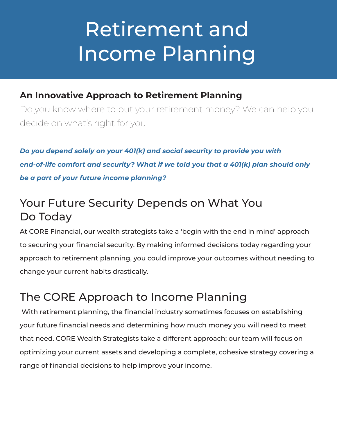# Retirement and Income Planning

### **An Innovative Approach to Retirement Planning**

Do you know where to put your retirement money? We can help you decide on what's right for you.

*Do you depend solely on your 401(k) and social security to provide you with end-of-life comfort and security? What if we told you that a 401(k) plan should only be a part of your future income planning?*

## Your Future Security Depends on What You Do Today

At CORE Financial, our wealth strategists take a 'begin with the end in mind' approach to securing your financial security. By making informed decisions today regarding your approach to retirement planning, you could improve your outcomes without needing to change your current habits drastically.

## The CORE Approach to Income Planning

 With retirement planning, the financial industry sometimes focuses on establishing your future financial needs and determining how much money you will need to meet that need. CORE Wealth Strategists take a different approach; our team will focus on optimizing your current assets and developing a complete, cohesive strategy covering a range of financial decisions to help improve your income.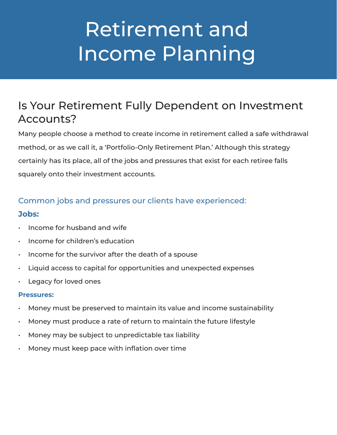# Retirement and Income Planning

### Is Your Retirement Fully Dependent on Investment Accounts?

Many people choose a method to create income in retirement called a safe withdrawal method, or as we call it, a 'Portfolio-Only Retirement Plan.' Although this strategy certainly has its place, all of the jobs and pressures that exist for each retiree falls squarely onto their investment accounts.

### Common jobs and pressures our clients have experienced: **Jobs:**

- Income for husband and wife
- Income for children's education
- Income for the survivor after the death of a spouse
- Liquid access to capital for opportunities and unexpected expenses
- Legacy for loved ones

#### **Pressures:**

- Money must be preserved to maintain its value and income sustainability
- Money must produce a rate of return to maintain the future lifestyle
- Money may be subject to unpredictable tax liability
- Money must keep pace with inflation over time